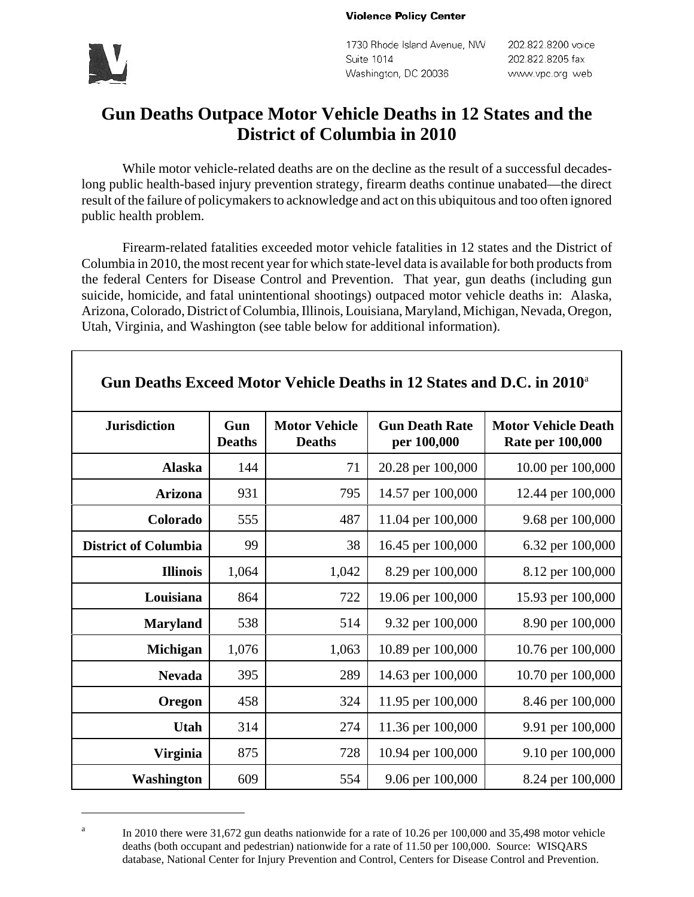#### **Violence Policy Center**



1730 Rhode Island Avenue, NW Suite 1014 Washington, DC 20036

202.822.8200 voice 202.822.8205 fax www.vpc.org web

# **Gun Deaths Outpace Motor Vehicle Deaths in 12 States and the District of Columbia in 2010**

While motor vehicle-related deaths are on the decline as the result of a successful decadeslong public health-based injury prevention strategy, firearm deaths continue unabated—the direct result of the failure of policymakers to acknowledge and act on this ubiquitous and too often ignored public health problem.

Firearm-related fatalities exceeded motor vehicle fatalities in 12 states and the District of Columbia in 2010, the most recent year for which state-level data is available for both products from the federal Centers for Disease Control and Prevention. That year, gun deaths (including gun suicide, homicide, and fatal unintentional shootings) outpaced motor vehicle deaths in: Alaska, Arizona, Colorado, District of Columbia, Illinois, Louisiana, Maryland, Michigan, Nevada, Oregon, Utah, Virginia, and Washington (see table below for additional information).

| <b>Jurisdiction</b>         | Gun<br><b>Deaths</b> | <b>Motor Vehicle</b><br><b>Deaths</b> | <b>Gun Death Rate</b><br>per 100,000 | <b>Motor Vehicle Death</b><br><b>Rate per 100,000</b> |
|-----------------------------|----------------------|---------------------------------------|--------------------------------------|-------------------------------------------------------|
| <b>Alaska</b>               | 144                  | 71                                    | 20.28 per 100,000                    | 10.00 per 100,000                                     |
| <b>Arizona</b>              | 931                  | 795                                   | 14.57 per 100,000                    | 12.44 per 100,000                                     |
| Colorado                    | 555                  | 487                                   | 11.04 per 100,000                    | 9.68 per 100,000                                      |
| <b>District of Columbia</b> | 99                   | 38                                    | 16.45 per 100,000                    | 6.32 per 100,000                                      |
| <b>Illinois</b>             | 1,064                | 1,042                                 | 8.29 per 100,000                     | 8.12 per 100,000                                      |
| Louisiana                   | 864                  | 722                                   | 19.06 per 100,000                    | 15.93 per 100,000                                     |
| <b>Maryland</b>             | 538                  | 514                                   | 9.32 per 100,000                     | 8.90 per 100,000                                      |
| Michigan                    | 1,076                | 1,063                                 | 10.89 per 100,000                    | 10.76 per 100,000                                     |
| <b>Nevada</b>               | 395                  | 289                                   | 14.63 per 100,000                    | 10.70 per 100,000                                     |
| Oregon                      | 458                  | 324                                   | 11.95 per 100,000                    | 8.46 per 100,000                                      |
| Utah                        | 314                  | 274                                   | 11.36 per 100,000                    | 9.91 per 100,000                                      |
| <b>Virginia</b>             | 875                  | 728                                   | 10.94 per 100,000                    | 9.10 per 100,000                                      |
| <b>Washington</b>           | 609                  | 554                                   | 9.06 per 100,000                     | 8.24 per 100,000                                      |

## **Gun Deaths Exceed Motor Vehicle Deaths in 12 States and D.C. in 2010**<sup>a</sup>

a In 2010 there were 31,672 gun deaths nationwide for a rate of 10.26 per 100,000 and 35,498 motor vehicle deaths (both occupant and pedestrian) nationwide for a rate of 11.50 per 100,000. Source: WISQARS database, National Center for Injury Prevention and Control, Centers for Disease Control and Prevention.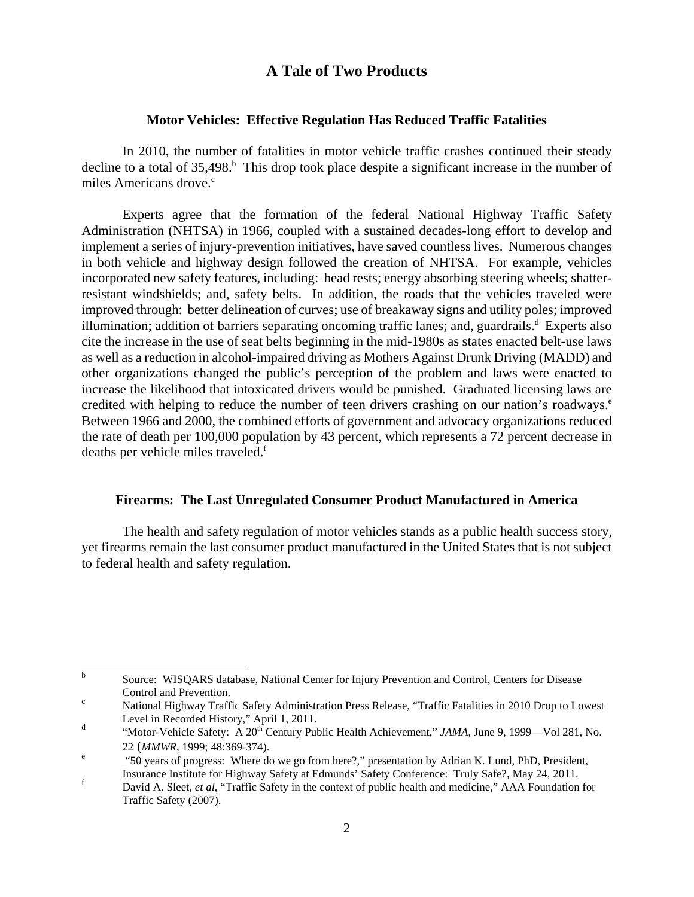### **A Tale of Two Products**

### **Motor Vehicles: Effective Regulation Has Reduced Traffic Fatalities**

In 2010, the number of fatalities in motor vehicle traffic crashes continued their steady decline to a total of  $35,498$ <sup>b</sup>. This drop took place despite a significant increase in the number of miles Americans drove. $\degree$ 

Experts agree that the formation of the federal National Highway Traffic Safety Administration (NHTSA) in 1966, coupled with a sustained decades-long effort to develop and implement a series of injury-prevention initiatives, have saved countless lives. Numerous changes in both vehicle and highway design followed the creation of NHTSA. For example, vehicles incorporated new safety features, including: head rests; energy absorbing steering wheels; shatterresistant windshields; and, safety belts. In addition, the roads that the vehicles traveled were improved through: better delineation of curves; use of breakaway signs and utility poles; improved illumination; addition of barriers separating oncoming traffic lanes; and, guardrails.<sup>d</sup> Experts also cite the increase in the use of seat belts beginning in the mid-1980s as states enacted belt-use laws as well as a reduction in alcohol-impaired driving as Mothers Against Drunk Driving (MADD) and other organizations changed the public's perception of the problem and laws were enacted to increase the likelihood that intoxicated drivers would be punished. Graduated licensing laws are credited with helping to reduce the number of teen drivers crashing on our nation's roadways.<sup>e</sup> Between 1966 and 2000, the combined efforts of government and advocacy organizations reduced the rate of death per 100,000 population by 43 percent, which represents a 72 percent decrease in deaths per vehicle miles traveled.<sup>f</sup>

### **Firearms: The Last Unregulated Consumer Product Manufactured in America**

The health and safety regulation of motor vehicles stands as a public health success story, yet firearms remain the last consumer product manufactured in the United States that is not subject to federal health and safety regulation.

b Source: WISQARS database, National Center for Injury Prevention and Control, Centers for Disease Control and Prevention.

National Highway Traffic Safety Administration Press Release, "Traffic Fatalities in 2010 Drop to Lowest Level in Recorded History," April 1, 2011.

"Motor-Vehicle Safety: A 20th Century Public Health Achievement," *JAMA*, June 9, 1999—Vol 281, No.  $\frac{22 \text{ (MMWR, 1999; 48:369-374)}}{450 \text{ N}}$ 

 <sup>&</sup>quot;50 years of progress: Where do we go from here?," presentation by Adrian K. Lund, PhD, President, Insurance Institute for Highway Safety at Edmunds' Safety Conference: Truly Safe?, May 24, 2011.

David A. Sleet, *et al*, "Traffic Safety in the context of public health and medicine," AAA Foundation for Traffic Safety (2007).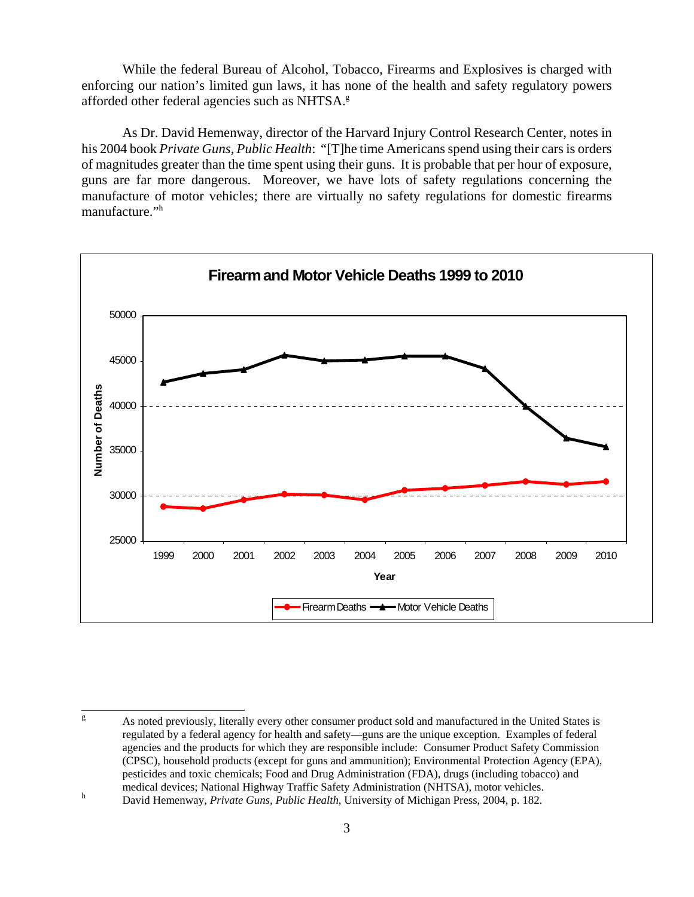While the federal Bureau of Alcohol, Tobacco, Firearms and Explosives is charged with enforcing our nation's limited gun laws, it has none of the health and safety regulatory powers afforded other federal agencies such as NHTSA.<sup>g</sup>

As Dr. David Hemenway, director of the Harvard Injury Control Research Center, notes in his 2004 book *Private Guns, Public Health*: "[T]he time Americans spend using their cars is orders of magnitudes greater than the time spent using their guns. It is probable that per hour of exposure, guns are far more dangerous. Moreover, we have lots of safety regulations concerning the manufacture of motor vehicles; there are virtually no safety regulations for domestic firearms manufacture."h



g As noted previously, literally every other consumer product sold and manufactured in the United States is regulated by a federal agency for health and safety—guns are the unique exception. Examples of federal agencies and the products for which they are responsible include: Consumer Product Safety Commission (CPSC), household products (except for guns and ammunition); Environmental Protection Agency (EPA), pesticides and toxic chemicals; Food and Drug Administration (FDA), drugs (including tobacco) and medical devices; National Highway Traffic Safety Administration (NHTSA), motor vehicles.

David Hemenway, *Private Guns, Public Health*, University of Michigan Press, 2004, p. 182.